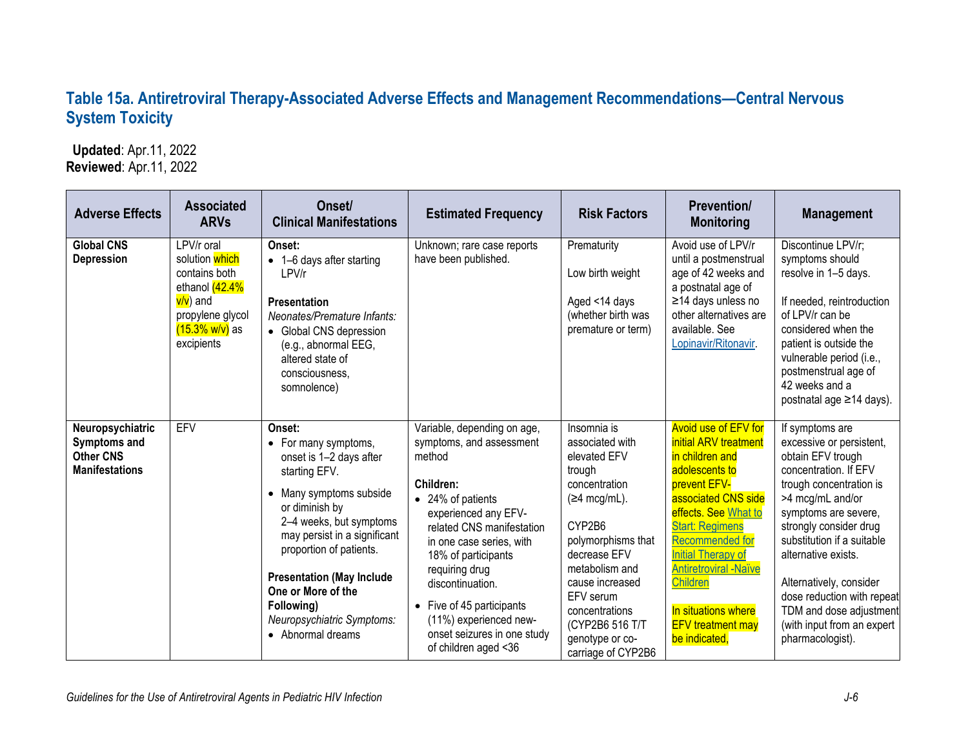## **Table 15a. Antiretroviral Therapy-Associated Adverse Effects and Management Recommendations—Central Nervous System Toxicity**

 **Updated**: Apr.11, 2022 **Reviewed**: Apr.11, 2022

| <b>Adverse Effects</b>                                                        | <b>Associated</b><br><b>ARVs</b>                                                                                                             | Onset/<br><b>Clinical Manifestations</b>                                                                                                                                                                                                                                                                                                 | <b>Estimated Frequency</b>                                                                                                                                                                                                                                                                                                                                                 | <b>Risk Factors</b>                                                                                                                                                                                                                                                                     | <b>Prevention/</b><br><b>Monitoring</b>                                                                                                                                                                                                                                                                                                                          | <b>Management</b>                                                                                                                                                                                                                                                                                                                                                                     |
|-------------------------------------------------------------------------------|----------------------------------------------------------------------------------------------------------------------------------------------|------------------------------------------------------------------------------------------------------------------------------------------------------------------------------------------------------------------------------------------------------------------------------------------------------------------------------------------|----------------------------------------------------------------------------------------------------------------------------------------------------------------------------------------------------------------------------------------------------------------------------------------------------------------------------------------------------------------------------|-----------------------------------------------------------------------------------------------------------------------------------------------------------------------------------------------------------------------------------------------------------------------------------------|------------------------------------------------------------------------------------------------------------------------------------------------------------------------------------------------------------------------------------------------------------------------------------------------------------------------------------------------------------------|---------------------------------------------------------------------------------------------------------------------------------------------------------------------------------------------------------------------------------------------------------------------------------------------------------------------------------------------------------------------------------------|
| <b>Global CNS</b><br>Depression                                               | LPV/r oral<br>solution which<br>contains both<br>ethanol (42.4%<br>v/v) and<br>propylene glycol<br><mark>(15.3% w/v)</mark> as<br>excipients | Onset:<br>• 1-6 days after starting<br>LPV/r<br>Presentation<br>Neonates/Premature Infants:<br>• Global CNS depression<br>(e.g., abnormal EEG,<br>altered state of<br>consciousness.<br>somnolence)                                                                                                                                      | Unknown; rare case reports<br>have been published.                                                                                                                                                                                                                                                                                                                         | Prematurity<br>Low birth weight<br>Aged <14 days<br>(whether birth was<br>premature or term)                                                                                                                                                                                            | Avoid use of LPV/r<br>until a postmenstrual<br>age of 42 weeks and<br>a postnatal age of<br>≥14 days unless no<br>other alternatives are<br>available. See<br>Lopinavir/Ritonavir.                                                                                                                                                                               | Discontinue LPV/r;<br>symptoms should<br>resolve in 1-5 days.<br>If needed, reintroduction<br>of LPV/r can be<br>considered when the<br>patient is outside the<br>vulnerable period (i.e.,<br>postmenstrual age of<br>42 weeks and a<br>postnatal age ≥14 days).                                                                                                                      |
| Neuropsychiatric<br>Symptoms and<br><b>Other CNS</b><br><b>Manifestations</b> | EFV                                                                                                                                          | Onset:<br>• For many symptoms,<br>onset is 1-2 days after<br>starting EFV.<br>• Many symptoms subside<br>or diminish by<br>2-4 weeks, but symptoms<br>may persist in a significant<br>proportion of patients.<br><b>Presentation (May Include</b><br>One or More of the<br>Following)<br>Neuropsychiatric Symptoms:<br>• Abnormal dreams | Variable, depending on age,<br>symptoms, and assessment<br>method<br>Children:<br>• 24% of patients<br>experienced any EFV-<br>related CNS manifestation<br>in one case series, with<br>18% of participants<br>requiring drug<br>discontinuation.<br>Five of 45 participants<br>$\bullet$<br>(11%) experienced new-<br>onset seizures in one study<br>of children aged <36 | Insomnia is<br>associated with<br>elevated EFV<br>trough<br>concentration<br>$(\geq 4 \text{ mcg/mL}).$<br>CYP2B6<br>polymorphisms that<br>decrease EFV<br>metabolism and<br>cause increased<br>EFV serum<br>concentrations<br>(CYP2B6 516 T/T<br>genotype or co-<br>carriage of CYP2B6 | <b>Avoid use of EFV for</b><br>initial ARV treatment<br>in children and<br>adolescents to<br>prevent EFV-<br>associated CNS side<br>effects. See What to<br><b>Start: Regimens</b><br><b>Recommended for</b><br><b>Initial Therapy of</b><br><b>Antiretroviral -Naïve</b><br><b>Children</b><br>In situations where<br><b>EFV</b> treatment may<br>be indicated, | If symptoms are<br>excessive or persistent,<br>obtain EFV trough<br>concentration. If EFV<br>trough concentration is<br>>4 mcg/mL and/or<br>symptoms are severe,<br>strongly consider drug<br>substitution if a suitable<br>alternative exists.<br>Alternatively, consider<br>dose reduction with repeat<br>TDM and dose adjustment<br>(with input from an expert<br>pharmacologist). |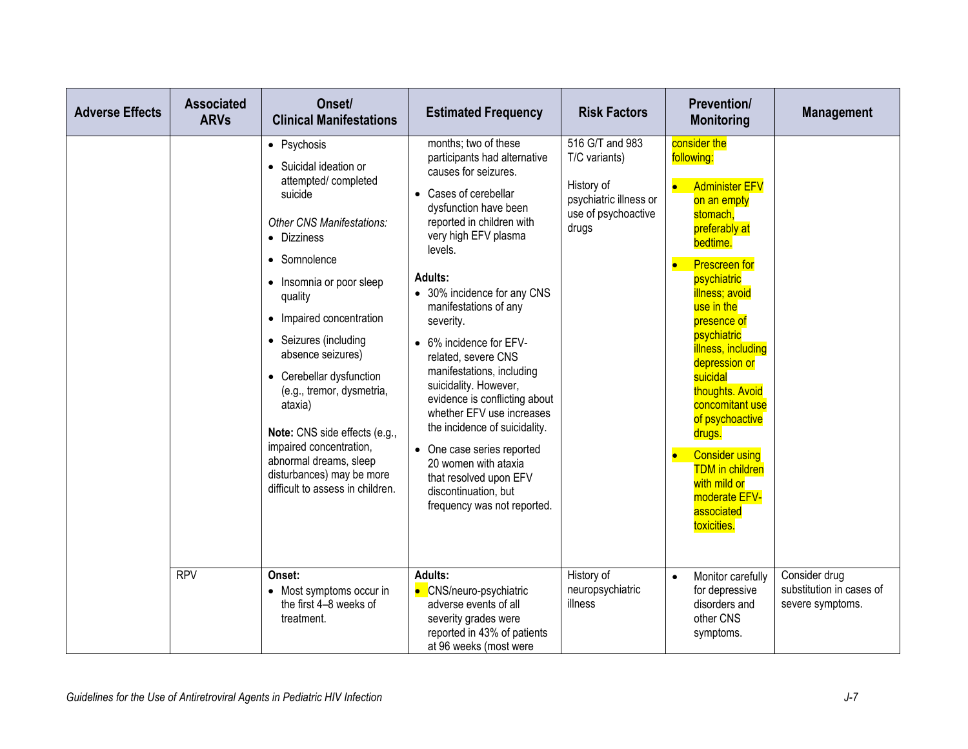| <b>Adverse Effects</b> | <b>Associated</b><br><b>ARVs</b> | Onset/<br><b>Clinical Manifestations</b>                                                                                                                                                                                                                                                                                                                                                                                                                                               | <b>Estimated Frequency</b>                                                                                                                                                                                                                                                                                                                                                                                                                                                                                                                                                                                                              | <b>Risk Factors</b>                                                                                      | <b>Prevention/</b><br><b>Monitoring</b>                                                                                                                                                                                                                                                                                                                                                                                                                                                   | <b>Management</b>                                             |
|------------------------|----------------------------------|----------------------------------------------------------------------------------------------------------------------------------------------------------------------------------------------------------------------------------------------------------------------------------------------------------------------------------------------------------------------------------------------------------------------------------------------------------------------------------------|-----------------------------------------------------------------------------------------------------------------------------------------------------------------------------------------------------------------------------------------------------------------------------------------------------------------------------------------------------------------------------------------------------------------------------------------------------------------------------------------------------------------------------------------------------------------------------------------------------------------------------------------|----------------------------------------------------------------------------------------------------------|-------------------------------------------------------------------------------------------------------------------------------------------------------------------------------------------------------------------------------------------------------------------------------------------------------------------------------------------------------------------------------------------------------------------------------------------------------------------------------------------|---------------------------------------------------------------|
|                        |                                  | • Psychosis<br>• Suicidal ideation or<br>attempted/completed<br>suicide<br><b>Other CNS Manifestations:</b><br>• Dizziness<br>• Somnolence<br>• Insomnia or poor sleep<br>quality<br>• Impaired concentration<br>• Seizures (including<br>absence seizures)<br>• Cerebellar dysfunction<br>(e.g., tremor, dysmetria,<br>ataxia)<br>Note: CNS side effects (e.g.,<br>impaired concentration,<br>abnormal dreams, sleep<br>disturbances) may be more<br>difficult to assess in children. | months; two of these<br>participants had alternative<br>causes for seizures.<br>Cases of cerebellar<br>$\bullet$<br>dysfunction have been<br>reported in children with<br>very high EFV plasma<br>levels.<br>Adults:<br>• 30% incidence for any CNS<br>manifestations of any<br>severity.<br>• 6% incidence for EFV-<br>related, severe CNS<br>manifestations, including<br>suicidality. However,<br>evidence is conflicting about<br>whether EFV use increases<br>the incidence of suicidality.<br>• One case series reported<br>20 women with ataxia<br>that resolved upon EFV<br>discontinuation, but<br>frequency was not reported. | 516 G/T and 983<br>T/C variants)<br>History of<br>psychiatric illness or<br>use of psychoactive<br>drugs | consider the<br>following:<br><b>Administer EFV</b><br>on an empty<br>stomach,<br>preferably at<br>bedtime.<br><b>Prescreen for</b><br>$\bullet$<br>psychiatric<br>illness; avoid<br>use in the<br>presence of<br>psychiatric<br><b>illness</b> , including<br>depression or<br>suicidal<br>thoughts. Avoid<br>concomitant use<br>of psychoactive<br>drugs.<br><b>Consider using</b><br>$\bullet$<br><b>TDM</b> in children<br>with mild or<br>moderate EFV-<br>associated<br>toxicities. |                                                               |
|                        | <b>RPV</b>                       | Onset:<br>• Most symptoms occur in<br>the first 4-8 weeks of<br>treatment.                                                                                                                                                                                                                                                                                                                                                                                                             | <b>Adults:</b><br>• CNS/neuro-psychiatric<br>adverse events of all<br>severity grades were<br>reported in 43% of patients<br>at 96 weeks (most were                                                                                                                                                                                                                                                                                                                                                                                                                                                                                     | History of<br>neuropsychiatric<br>illness                                                                | Monitor carefully<br>$\bullet$<br>for depressive<br>disorders and<br>other CNS<br>symptoms.                                                                                                                                                                                                                                                                                                                                                                                               | Consider drug<br>substitution in cases of<br>severe symptoms. |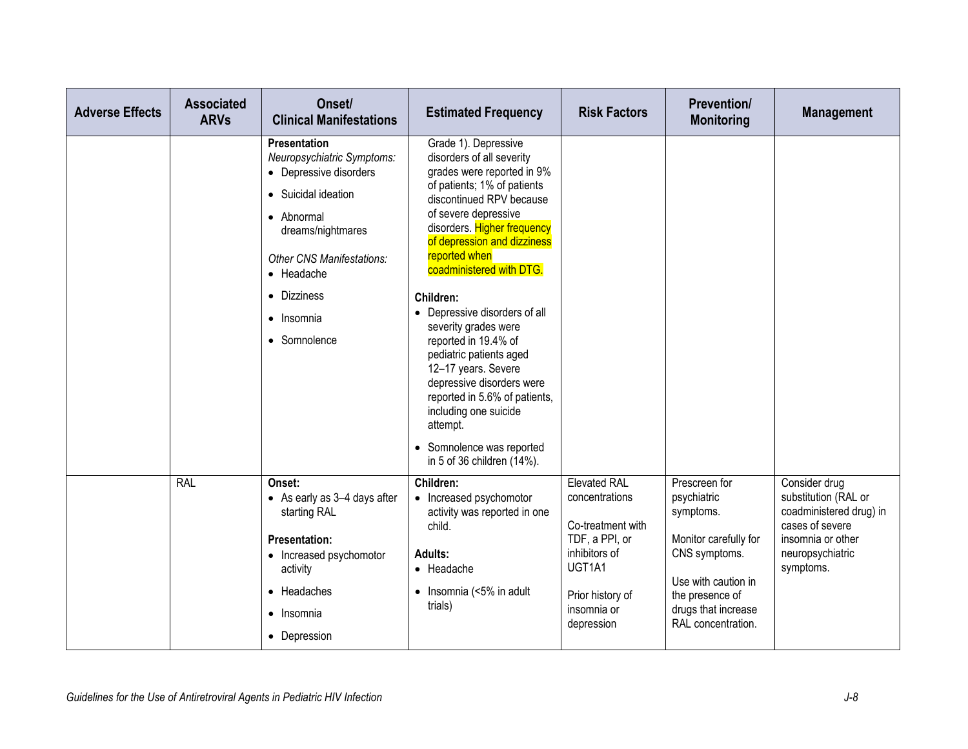| <b>Adverse Effects</b> | <b>Associated</b><br><b>ARVs</b> | Onset/<br><b>Clinical Manifestations</b>                                                                                                                                                                                                     | <b>Estimated Frequency</b>                                                                                                                                                                                                                                                                                                                                                                                                                                                                                                                                    | <b>Risk Factors</b>                                                                                                                                                               | <b>Prevention/</b><br><b>Monitoring</b>                                                                                                                                    | <b>Management</b>                                                                                                                         |
|------------------------|----------------------------------|----------------------------------------------------------------------------------------------------------------------------------------------------------------------------------------------------------------------------------------------|---------------------------------------------------------------------------------------------------------------------------------------------------------------------------------------------------------------------------------------------------------------------------------------------------------------------------------------------------------------------------------------------------------------------------------------------------------------------------------------------------------------------------------------------------------------|-----------------------------------------------------------------------------------------------------------------------------------------------------------------------------------|----------------------------------------------------------------------------------------------------------------------------------------------------------------------------|-------------------------------------------------------------------------------------------------------------------------------------------|
|                        |                                  | <b>Presentation</b><br>Neuropsychiatric Symptoms:<br>• Depressive disorders<br>• Suicidal ideation<br>• Abnormal<br>dreams/nightmares<br><b>Other CNS Manifestations:</b><br>• Headache<br>• Dizziness<br>$\bullet$ Insomnia<br>• Somnolence | Grade 1). Depressive<br>disorders of all severity<br>grades were reported in 9%<br>of patients; 1% of patients<br>discontinued RPV because<br>of severe depressive<br>disorders. Higher frequency<br>of depression and dizziness<br>reported when<br>coadministered with DTG.<br>Children:<br>• Depressive disorders of all<br>severity grades were<br>reported in 19.4% of<br>pediatric patients aged<br>12-17 years. Severe<br>depressive disorders were<br>reported in 5.6% of patients,<br>including one suicide<br>attempt.<br>• Somnolence was reported |                                                                                                                                                                                   |                                                                                                                                                                            |                                                                                                                                           |
|                        | <b>RAL</b>                       | Onset:<br>• As early as 3-4 days after<br>starting RAL<br><b>Presentation:</b><br>• Increased psychomotor<br>activity<br>• Headaches<br>Insomnia<br>$\bullet$<br>• Depression                                                                | in 5 of 36 children (14%).<br>Children:<br>• Increased psychomotor<br>activity was reported in one<br>child.<br>Adults:<br>• Headache<br>$\bullet$ Insomnia (<5% in adult<br>trials)                                                                                                                                                                                                                                                                                                                                                                          | <b>Elevated RAL</b><br>concentrations<br>Co-treatment with<br>TDF, a PPI, or<br>inhibitors of<br>UGT <sub>1</sub> A <sub>1</sub><br>Prior history of<br>insomnia or<br>depression | Prescreen for<br>psychiatric<br>symptoms.<br>Monitor carefully for<br>CNS symptoms.<br>Use with caution in<br>the presence of<br>drugs that increase<br>RAL concentration. | Consider drug<br>substitution (RAL or<br>coadministered drug) in<br>cases of severe<br>insomnia or other<br>neuropsychiatric<br>symptoms. |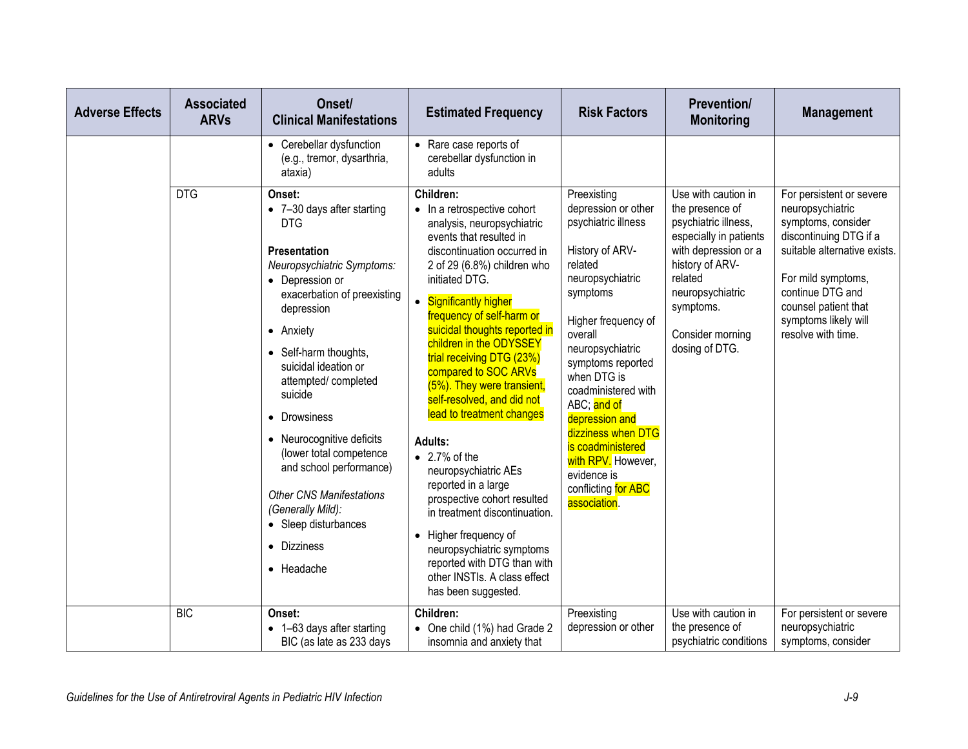| <b>Adverse Effects</b> | <b>Associated</b><br><b>ARVs</b> | Onset/<br><b>Clinical Manifestations</b>                                                                                                                                                                                                                                                                                                                                                                                                                                         | <b>Estimated Frequency</b>                                                                                                                                                                                                                                                                                                                                                                                                                                                                                                                                                                                                                                                                                                                                        | <b>Risk Factors</b>                                                                                                                                                                                                                                                                                                                                                                              | <b>Prevention/</b><br><b>Monitoring</b>                                                                                                                                                                               | <b>Management</b>                                                                                                                                                                                                                            |
|------------------------|----------------------------------|----------------------------------------------------------------------------------------------------------------------------------------------------------------------------------------------------------------------------------------------------------------------------------------------------------------------------------------------------------------------------------------------------------------------------------------------------------------------------------|-------------------------------------------------------------------------------------------------------------------------------------------------------------------------------------------------------------------------------------------------------------------------------------------------------------------------------------------------------------------------------------------------------------------------------------------------------------------------------------------------------------------------------------------------------------------------------------------------------------------------------------------------------------------------------------------------------------------------------------------------------------------|--------------------------------------------------------------------------------------------------------------------------------------------------------------------------------------------------------------------------------------------------------------------------------------------------------------------------------------------------------------------------------------------------|-----------------------------------------------------------------------------------------------------------------------------------------------------------------------------------------------------------------------|----------------------------------------------------------------------------------------------------------------------------------------------------------------------------------------------------------------------------------------------|
|                        |                                  | • Cerebellar dysfunction<br>(e.g., tremor, dysarthria,<br>ataxia)                                                                                                                                                                                                                                                                                                                                                                                                                | • Rare case reports of<br>cerebellar dysfunction in<br>adults                                                                                                                                                                                                                                                                                                                                                                                                                                                                                                                                                                                                                                                                                                     |                                                                                                                                                                                                                                                                                                                                                                                                  |                                                                                                                                                                                                                       |                                                                                                                                                                                                                                              |
|                        | <b>DTG</b>                       | Onset:<br>• 7-30 days after starting<br><b>DTG</b><br>Presentation<br>Neuropsychiatric Symptoms:<br>• Depression or<br>exacerbation of preexisting<br>depression<br>• Anxiety<br>• Self-harm thoughts,<br>suicidal ideation or<br>attempted/completed<br>suicide<br>• Drowsiness<br>• Neurocognitive deficits<br>(lower total competence<br>and school performance)<br><b>Other CNS Manifestations</b><br>(Generally Mild):<br>• Sleep disturbances<br>• Dizziness<br>• Headache | Children:<br>• In a retrospective cohort<br>analysis, neuropsychiatric<br>events that resulted in<br>discontinuation occurred in<br>2 of 29 (6.8%) children who<br>initiated DTG.<br><b>Significantly higher</b><br>$\bullet$<br>frequency of self-harm or<br>suicidal thoughts reported in<br>children in the ODYSSEY<br>trial receiving DTG (23%)<br>compared to SOC ARVs<br>(5%). They were transient,<br>self-resolved, and did not<br>lead to treatment changes<br>Adults:<br>$\bullet$ 2.7% of the<br>neuropsychiatric AEs<br>reported in a large<br>prospective cohort resulted<br>in treatment discontinuation.<br>Higher frequency of<br>neuropsychiatric symptoms<br>reported with DTG than with<br>other INSTIs. A class effect<br>has been suggested. | Preexisting<br>depression or other<br>psychiatric illness<br>History of ARV-<br>related<br>neuropsychiatric<br>symptoms<br>Higher frequency of<br>overall<br>neuropsychiatric<br>symptoms reported<br>when DTG is<br>coadministered with<br>ABC; and of<br>depression and<br>dizziness when DTG<br>is coadministered<br>with RPV. However,<br>evidence is<br>conflicting for ABC<br>association. | Use with caution in<br>the presence of<br>psychiatric illness,<br>especially in patients<br>with depression or a<br>history of ARV-<br>related<br>neuropsychiatric<br>symptoms.<br>Consider morning<br>dosing of DTG. | For persistent or severe<br>neuropsychiatric<br>symptoms, consider<br>discontinuing DTG if a<br>suitable alternative exists.<br>For mild symptoms,<br>continue DTG and<br>counsel patient that<br>symptoms likely will<br>resolve with time. |
|                        | <b>BIC</b>                       | Onset:<br>• 1-63 days after starting<br>BIC (as late as 233 days                                                                                                                                                                                                                                                                                                                                                                                                                 | Children:<br>• One child (1%) had Grade 2<br>insomnia and anxiety that                                                                                                                                                                                                                                                                                                                                                                                                                                                                                                                                                                                                                                                                                            | Preexisting<br>depression or other                                                                                                                                                                                                                                                                                                                                                               | Use with caution in<br>the presence of<br>psychiatric conditions                                                                                                                                                      | For persistent or severe<br>neuropsychiatric<br>symptoms, consider                                                                                                                                                                           |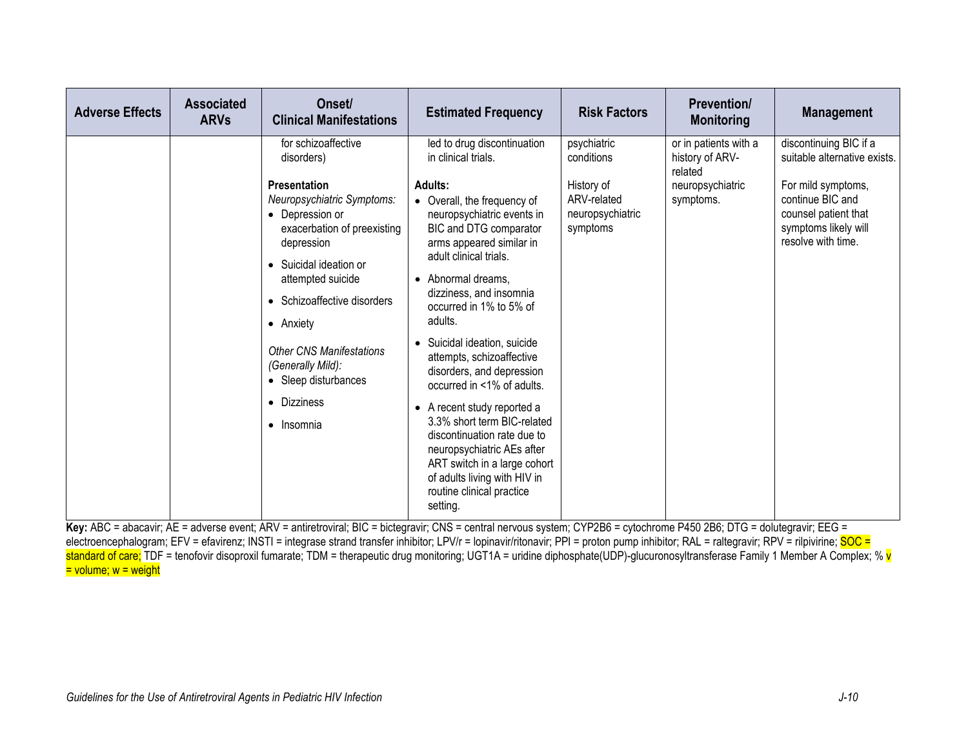| <b>Adverse Effects</b> | <b>Associated</b><br><b>ARVs</b> | Onset/<br><b>Clinical Manifestations</b>                                                                                                                                                                                                                                                                    | <b>Estimated Frequency</b>                                                                                                                                                                                                                                                                                                                                                                                         | <b>Risk Factors</b>                                       | <b>Prevention/</b><br><b>Monitoring</b>             | <b>Management</b>                                                                                            |
|------------------------|----------------------------------|-------------------------------------------------------------------------------------------------------------------------------------------------------------------------------------------------------------------------------------------------------------------------------------------------------------|--------------------------------------------------------------------------------------------------------------------------------------------------------------------------------------------------------------------------------------------------------------------------------------------------------------------------------------------------------------------------------------------------------------------|-----------------------------------------------------------|-----------------------------------------------------|--------------------------------------------------------------------------------------------------------------|
|                        |                                  | for schizoaffective<br>disorders)                                                                                                                                                                                                                                                                           | led to drug discontinuation<br>in clinical trials.                                                                                                                                                                                                                                                                                                                                                                 | psychiatric<br>conditions                                 | or in patients with a<br>history of ARV-<br>related | discontinuing BIC if a<br>suitable alternative exists.                                                       |
|                        |                                  | <b>Presentation</b><br>Neuropsychiatric Symptoms:<br>• Depression or<br>exacerbation of preexisting<br>depression<br>• Suicidal ideation or<br>attempted suicide<br>• Schizoaffective disorders<br>• Anxiety<br><b>Other CNS Manifestations</b><br>(Generally Mild):<br>• Sleep disturbances<br>• Dizziness | <b>Adults:</b><br>Overall, the frequency of<br>neuropsychiatric events in<br>BIC and DTG comparator<br>arms appeared similar in<br>adult clinical trials.<br>• Abnormal dreams,<br>dizziness, and insomnia<br>occurred in 1% to 5% of<br>adults.<br>Suicidal ideation, suicide<br>$\bullet$<br>attempts, schizoaffective<br>disorders, and depression<br>occurred in <1% of adults.<br>• A recent study reported a | History of<br>ARV-related<br>neuropsychiatric<br>symptoms | neuropsychiatric<br>symptoms.                       | For mild symptoms,<br>continue BIC and<br>counsel patient that<br>symptoms likely will<br>resolve with time. |
|                        |                                  | $\bullet$ Insomnia                                                                                                                                                                                                                                                                                          | 3.3% short term BIC-related<br>discontinuation rate due to<br>neuropsychiatric AEs after<br>ART switch in a large cohort<br>of adults living with HIV in<br>routine clinical practice<br>setting.                                                                                                                                                                                                                  |                                                           |                                                     |                                                                                                              |

Key: ABC = abacavir; AE = adverse event; ARV = antiretroviral; BIC = bictegravir; CNS = central nervous system; CYP2B6 = cytochrome P450 2B6; DTG = dolutegravir; EEG = electroencephalogram; EFV = efavirenz; INSTI = integrase strand transfer inhibitor; LPV/r = lopinavir/ritonavir; PPI = proton pump inhibitor; RAL = raltegravir; RPV = rilpivirine; SOC = standard of care; TDF = tenofovir disoproxil fumarate; TDM = therapeutic drug monitoring; UGT1A = uridine diphosphate(UDP)-glucuronosyltransferase Family 1 Member A Complex; % v = volume; w = weight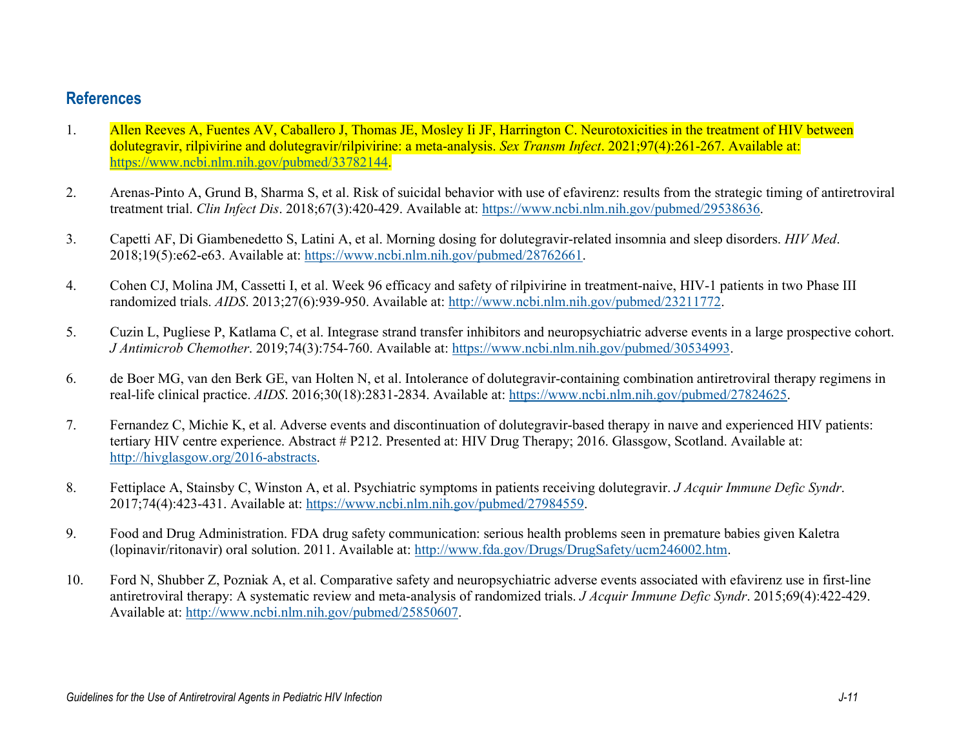## **References**

- 1. Allen Reeves A, Fuentes AV, Caballero J, Thomas JE, Mosley Ii JF, Harrington C. Neurotoxicities in the treatment of HIV between dolutegravir, rilpivirine and dolutegravir/rilpivirine: a meta-analysis. *Sex Transm Infect*. 2021;97(4):261-267. Available at: [https://www.ncbi.nlm.nih.gov/pubmed/33782144.](https://www.ncbi.nlm.nih.gov/pubmed/33782144)
- 2. Arenas-Pinto A, Grund B, Sharma S, et al. Risk of suicidal behavior with use of efavirenz: results from the strategic timing of antiretroviral treatment trial. *Clin Infect Dis*. 2018;67(3):420-429. Available at: [https://www.ncbi.nlm.nih.gov/pubmed/29538636.](https://www.ncbi.nlm.nih.gov/pubmed/29538636)
- 3. Capetti AF, Di Giambenedetto S, Latini A, et al. Morning dosing for dolutegravir-related insomnia and sleep disorders. *HIV Med*. 2018;19(5):e62-e63. Available at: [https://www.ncbi.nlm.nih.gov/pubmed/28762661.](https://www.ncbi.nlm.nih.gov/pubmed/28762661)
- 4. Cohen CJ, Molina JM, Cassetti I, et al. Week 96 efficacy and safety of rilpivirine in treatment-naive, HIV-1 patients in two Phase III randomized trials. *AIDS*. 2013;27(6):939-950. Available at: [http://www.ncbi.nlm.nih.gov/pubmed/23211772.](http://www.ncbi.nlm.nih.gov/pubmed/23211772)
- 5. Cuzin L, Pugliese P, Katlama C, et al. Integrase strand transfer inhibitors and neuropsychiatric adverse events in a large prospective cohort. *J Antimicrob Chemother*. 2019;74(3):754-760. Available at: [https://www.ncbi.nlm.nih.gov/pubmed/30534993.](https://www.ncbi.nlm.nih.gov/pubmed/30534993)
- 6. de Boer MG, van den Berk GE, van Holten N, et al. Intolerance of dolutegravir-containing combination antiretroviral therapy regimens in real-life clinical practice. *AIDS*. 2016;30(18):2831-2834. Available at: [https://www.ncbi.nlm.nih.gov/pubmed/27824625.](https://www.ncbi.nlm.nih.gov/pubmed/27824625)
- 7. Fernandez C, Michie K, et al. Adverse events and discontinuation of dolutegravir-based therapy in naıve and experienced HIV patients: tertiary HIV centre experience. Abstract # P212. Presented at: HIV Drug Therapy; 2016. Glassgow, Scotland. Available at: [http://hivglasgow.org/2016-abstracts.](http://hivglasgow.org/2016-abstracts)
- 8. Fettiplace A, Stainsby C, Winston A, et al. Psychiatric symptoms in patients receiving dolutegravir. *J Acquir Immune Defic Syndr*. 2017;74(4):423-431. Available at: [https://www.ncbi.nlm.nih.gov/pubmed/27984559.](https://www.ncbi.nlm.nih.gov/pubmed/27984559)
- 9. Food and Drug Administration. FDA drug safety communication: serious health problems seen in premature babies given Kaletra (lopinavir/ritonavir) oral solution. 2011. Available at: [http://www.fda.gov/Drugs/DrugSafety/ucm246002.htm.](http://www.fda.gov/Drugs/DrugSafety/ucm246002.htm)
- 10. Ford N, Shubber Z, Pozniak A, et al. Comparative safety and neuropsychiatric adverse events associated with efavirenz use in first-line antiretroviral therapy: A systematic review and meta-analysis of randomized trials. *J Acquir Immune Defic Syndr*. 2015;69(4):422-429. Available at: [http://www.ncbi.nlm.nih.gov/pubmed/25850607.](http://www.ncbi.nlm.nih.gov/pubmed/25850607)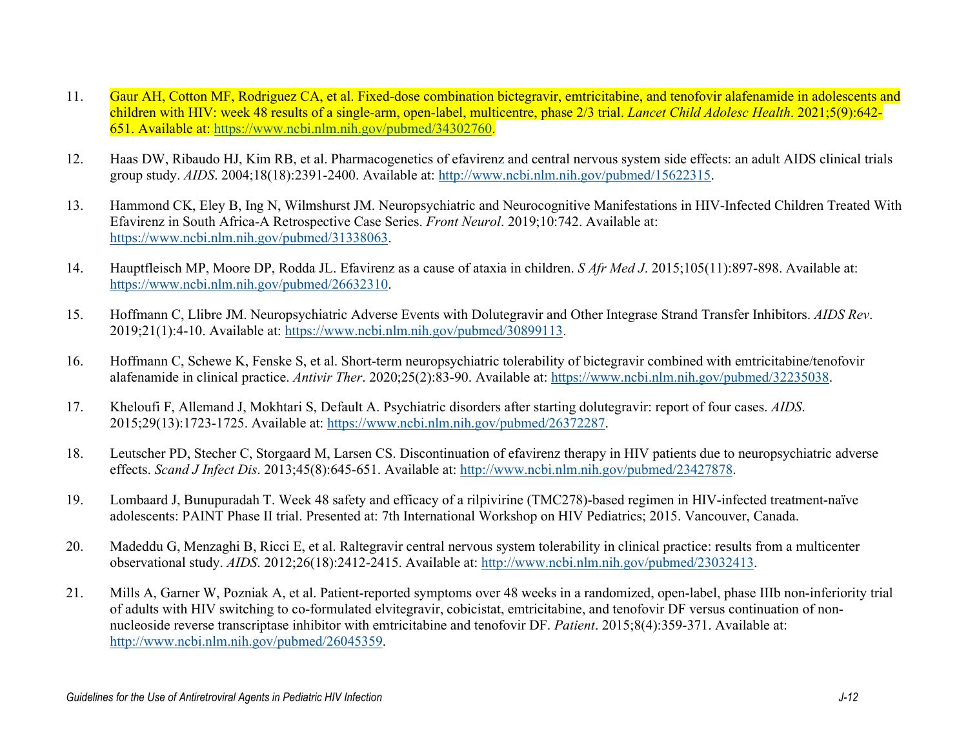- 11. Gaur AH, Cotton MF, Rodriguez CA, et al. Fixed-dose combination bictegravir, emtricitabine, and tenofovir alafenamide in adolescents and children with HIV: week 48 results of a single-arm, open-label, multicentre, phase 2/3 trial. *Lancet Child Adolesc Health*. 2021;5(9):642- 651. Available at: [https://www.ncbi.nlm.nih.gov/pubmed/34302760.](https://www.ncbi.nlm.nih.gov/pubmed/34302760)
- 12. Haas DW, Ribaudo HJ, Kim RB, et al. Pharmacogenetics of efavirenz and central nervous system side effects: an adult AIDS clinical trials group study. *AIDS*. 2004;18(18):2391-2400. Available at: [http://www.ncbi.nlm.nih.gov/pubmed/15622315.](http://www.ncbi.nlm.nih.gov/pubmed/15622315)
- 13. Hammond CK, Eley B, Ing N, Wilmshurst JM. Neuropsychiatric and Neurocognitive Manifestations in HIV-Infected Children Treated With Efavirenz in South Africa-A Retrospective Case Series. *Front Neurol*. 2019;10:742. Available at: [https://www.ncbi.nlm.nih.gov/pubmed/31338063.](https://www.ncbi.nlm.nih.gov/pubmed/31338063)
- 14. Hauptfleisch MP, Moore DP, Rodda JL. Efavirenz as a cause of ataxia in children. *S Afr Med J*. 2015;105(11):897-898. Available at: [https://www.ncbi.nlm.nih.gov/pubmed/26632310.](https://www.ncbi.nlm.nih.gov/pubmed/26632310)
- 15. Hoffmann C, Llibre JM. Neuropsychiatric Adverse Events with Dolutegravir and Other Integrase Strand Transfer Inhibitors. *AIDS Rev*. 2019;21(1):4-10. Available at: [https://www.ncbi.nlm.nih.gov/pubmed/30899113.](https://www.ncbi.nlm.nih.gov/pubmed/30899113)
- 16. Hoffmann C, Schewe K, Fenske S, et al. Short-term neuropsychiatric tolerability of bictegravir combined with emtricitabine/tenofovir alafenamide in clinical practice. *Antivir Ther*. 2020;25(2):83-90. Available at: [https://www.ncbi.nlm.nih.gov/pubmed/32235038.](https://www.ncbi.nlm.nih.gov/pubmed/32235038)
- 17. Kheloufi F, Allemand J, Mokhtari S, Default A. Psychiatric disorders after starting dolutegravir: report of four cases. *AIDS*. 2015;29(13):1723-1725. Available at: [https://www.ncbi.nlm.nih.gov/pubmed/26372287.](https://www.ncbi.nlm.nih.gov/pubmed/26372287)
- 18. Leutscher PD, Stecher C, Storgaard M, Larsen CS. Discontinuation of efavirenz therapy in HIV patients due to neuropsychiatric adverse effects. *Scand J Infect Dis*. 2013;45(8):645-651. Available at: [http://www.ncbi.nlm.nih.gov/pubmed/23427878.](http://www.ncbi.nlm.nih.gov/pubmed/23427878)
- 19. Lombaard J, Bunupuradah T. Week 48 safety and efficacy of a rilpivirine (TMC278)-based regimen in HIV-infected treatment-naïve adolescents: PAINT Phase II trial. Presented at: 7th International Workshop on HIV Pediatrics; 2015. Vancouver, Canada.
- 20. Madeddu G, Menzaghi B, Ricci E, et al. Raltegravir central nervous system tolerability in clinical practice: results from a multicenter observational study. *AIDS*. 2012;26(18):2412-2415. Available at: [http://www.ncbi.nlm.nih.gov/pubmed/23032413.](http://www.ncbi.nlm.nih.gov/pubmed/23032413)
- 21. Mills A, Garner W, Pozniak A, et al. Patient-reported symptoms over 48 weeks in a randomized, open-label, phase IIIb non-inferiority trial of adults with HIV switching to co-formulated elvitegravir, cobicistat, emtricitabine, and tenofovir DF versus continuation of nonnucleoside reverse transcriptase inhibitor with emtricitabine and tenofovir DF. *Patient*. 2015;8(4):359-371. Available at: [http://www.ncbi.nlm.nih.gov/pubmed/26045359.](http://www.ncbi.nlm.nih.gov/pubmed/26045359)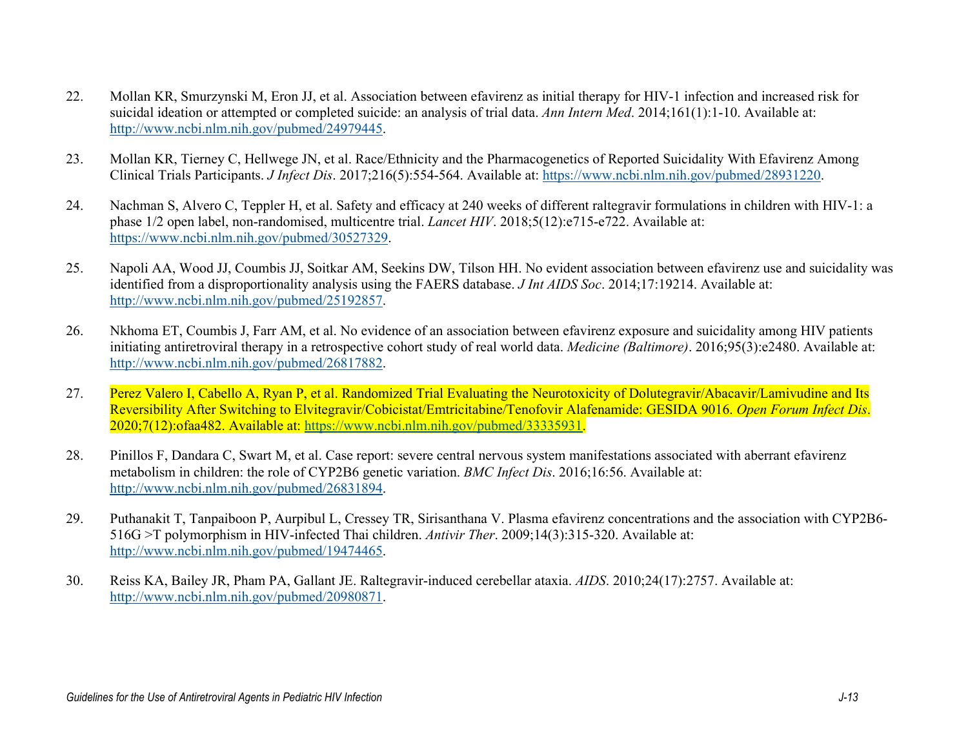- 22. Mollan KR, Smurzynski M, Eron JJ, et al. Association between efavirenz as initial therapy for HIV-1 infection and increased risk for suicidal ideation or attempted or completed suicide: an analysis of trial data. *Ann Intern Med*. 2014;161(1):1-10. Available at: [http://www.ncbi.nlm.nih.gov/pubmed/24979445.](http://www.ncbi.nlm.nih.gov/pubmed/24979445)
- 23. Mollan KR, Tierney C, Hellwege JN, et al. Race/Ethnicity and the Pharmacogenetics of Reported Suicidality With Efavirenz Among Clinical Trials Participants. *J Infect Dis*. 2017;216(5):554-564. Available at: [https://www.ncbi.nlm.nih.gov/pubmed/28931220.](https://www.ncbi.nlm.nih.gov/pubmed/28931220)
- 24. Nachman S, Alvero C, Teppler H, et al. Safety and efficacy at 240 weeks of different raltegravir formulations in children with HIV-1: a phase 1/2 open label, non-randomised, multicentre trial. *Lancet HIV*. 2018;5(12):e715-e722. Available at: [https://www.ncbi.nlm.nih.gov/pubmed/30527329.](https://www.ncbi.nlm.nih.gov/pubmed/30527329)
- 25. Napoli AA, Wood JJ, Coumbis JJ, Soitkar AM, Seekins DW, Tilson HH. No evident association between efavirenz use and suicidality was identified from a disproportionality analysis using the FAERS database. *J Int AIDS Soc*. 2014;17:19214. Available at: [http://www.ncbi.nlm.nih.gov/pubmed/25192857.](http://www.ncbi.nlm.nih.gov/pubmed/25192857)
- 26. Nkhoma ET, Coumbis J, Farr AM, et al. No evidence of an association between efavirenz exposure and suicidality among HIV patients initiating antiretroviral therapy in a retrospective cohort study of real world data. *Medicine (Baltimore)*. 2016;95(3):e2480. Available at: [http://www.ncbi.nlm.nih.gov/pubmed/26817882.](http://www.ncbi.nlm.nih.gov/pubmed/26817882)
- 27. Perez Valero I, Cabello A, Ryan P, et al. Randomized Trial Evaluating the Neurotoxicity of Dolutegravir/Abacavir/Lamivudine and Its Reversibility After Switching to Elvitegravir/Cobicistat/Emtricitabine/Tenofovir Alafenamide: GESIDA 9016. *Open Forum Infect Dis*. 2020;7(12):ofaa482. Available at: [https://www.ncbi.nlm.nih.gov/pubmed/33335931.](https://www.ncbi.nlm.nih.gov/pubmed/33335931)
- 28. Pinillos F, Dandara C, Swart M, et al. Case report: severe central nervous system manifestations associated with aberrant efavirenz metabolism in children: the role of CYP2B6 genetic variation. *BMC Infect Dis*. 2016;16:56. Available at: [http://www.ncbi.nlm.nih.gov/pubmed/26831894.](http://www.ncbi.nlm.nih.gov/pubmed/26831894)
- 29. Puthanakit T, Tanpaiboon P, Aurpibul L, Cressey TR, Sirisanthana V. Plasma efavirenz concentrations and the association with CYP2B6- 516G >T polymorphism in HIV-infected Thai children. *Antivir Ther*. 2009;14(3):315-320. Available at: [http://www.ncbi.nlm.nih.gov/pubmed/19474465.](http://www.ncbi.nlm.nih.gov/pubmed/19474465)
- 30. Reiss KA, Bailey JR, Pham PA, Gallant JE. Raltegravir-induced cerebellar ataxia. *AIDS*. 2010;24(17):2757. Available at: [http://www.ncbi.nlm.nih.gov/pubmed/20980871.](http://www.ncbi.nlm.nih.gov/pubmed/20980871)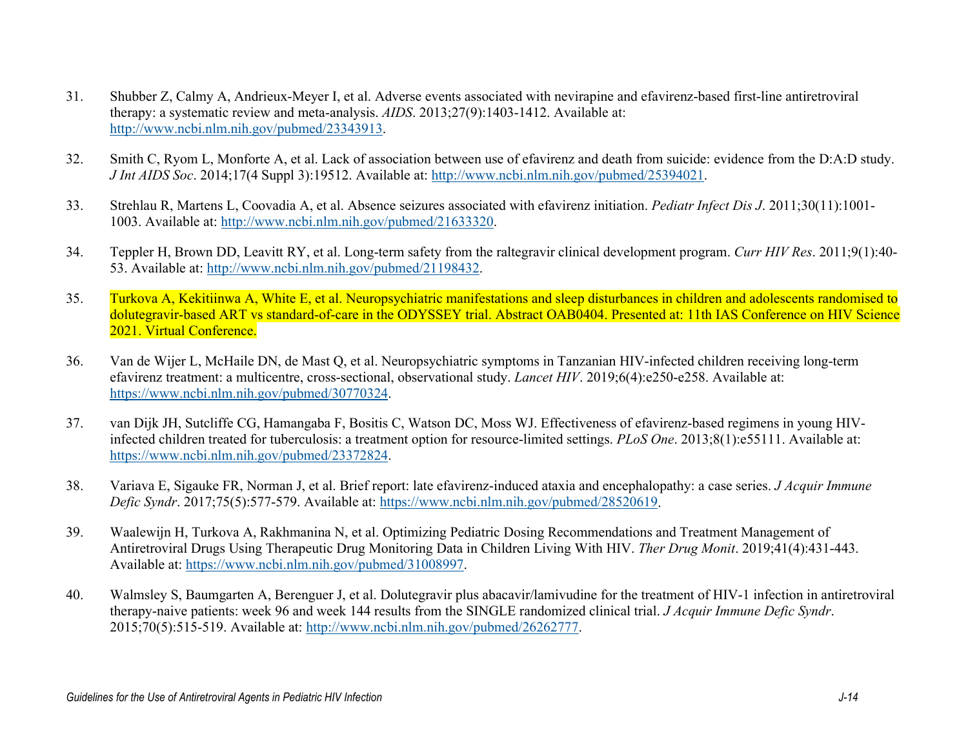- 31. Shubber Z, Calmy A, Andrieux-Meyer I, et al. Adverse events associated with nevirapine and efavirenz-based first-line antiretroviral therapy: a systematic review and meta-analysis. *AIDS*. 2013;27(9):1403-1412. Available at: [http://www.ncbi.nlm.nih.gov/pubmed/23343913.](http://www.ncbi.nlm.nih.gov/pubmed/23343913)
- 32. Smith C, Ryom L, Monforte A, et al. Lack of association between use of efavirenz and death from suicide: evidence from the D:A:D study. *J Int AIDS Soc*. 2014;17(4 Suppl 3):19512. Available at: [http://www.ncbi.nlm.nih.gov/pubmed/25394021.](http://www.ncbi.nlm.nih.gov/pubmed/25394021)
- 33. Strehlau R, Martens L, Coovadia A, et al. Absence seizures associated with efavirenz initiation. *Pediatr Infect Dis J*. 2011;30(11):1001- 1003. Available at: [http://www.ncbi.nlm.nih.gov/pubmed/21633320.](http://www.ncbi.nlm.nih.gov/pubmed/21633320)
- 34. Teppler H, Brown DD, Leavitt RY, et al. Long-term safety from the raltegravir clinical development program. *Curr HIV Res*. 2011;9(1):40- 53. Available at: [http://www.ncbi.nlm.nih.gov/pubmed/21198432.](http://www.ncbi.nlm.nih.gov/pubmed/21198432)
- 35. Turkova A, Kekitiinwa A, White E, et al. Neuropsychiatric manifestations and sleep disturbances in children and adolescents randomised to dolutegravir-based ART vs standard-of-care in the ODYSSEY trial. Abstract OAB0404. Presented at: 11th IAS Conference on HIV Science 2021. Virtual Conference.
- 36. Van de Wijer L, McHaile DN, de Mast Q, et al. Neuropsychiatric symptoms in Tanzanian HIV-infected children receiving long-term efavirenz treatment: a multicentre, cross-sectional, observational study. *Lancet HIV*. 2019;6(4):e250-e258. Available at: [https://www.ncbi.nlm.nih.gov/pubmed/30770324.](https://www.ncbi.nlm.nih.gov/pubmed/30770324)
- 37. van Dijk JH, Sutcliffe CG, Hamangaba F, Bositis C, Watson DC, Moss WJ. Effectiveness of efavirenz-based regimens in young HIVinfected children treated for tuberculosis: a treatment option for resource-limited settings. *PLoS One*. 2013;8(1):e55111. Available at: [https://www.ncbi.nlm.nih.gov/pubmed/23372824.](https://www.ncbi.nlm.nih.gov/pubmed/23372824)
- 38. Variava E, Sigauke FR, Norman J, et al. Brief report: late efavirenz-induced ataxia and encephalopathy: a case series. *J Acquir Immune Defic Syndr*. 2017;75(5):577-579. Available at: [https://www.ncbi.nlm.nih.gov/pubmed/28520619.](https://www.ncbi.nlm.nih.gov/pubmed/28520619)
- 39. Waalewijn H, Turkova A, Rakhmanina N, et al. Optimizing Pediatric Dosing Recommendations and Treatment Management of Antiretroviral Drugs Using Therapeutic Drug Monitoring Data in Children Living With HIV. *Ther Drug Monit*. 2019;41(4):431-443. Available at: [https://www.ncbi.nlm.nih.gov/pubmed/31008997.](https://www.ncbi.nlm.nih.gov/pubmed/31008997)
- 40. Walmsley S, Baumgarten A, Berenguer J, et al. Dolutegravir plus abacavir/lamivudine for the treatment of HIV-1 infection in antiretroviral therapy-naive patients: week 96 and week 144 results from the SINGLE randomized clinical trial. *J Acquir Immune Defic Syndr*. 2015;70(5):515-519. Available at: [http://www.ncbi.nlm.nih.gov/pubmed/26262777.](http://www.ncbi.nlm.nih.gov/pubmed/26262777)